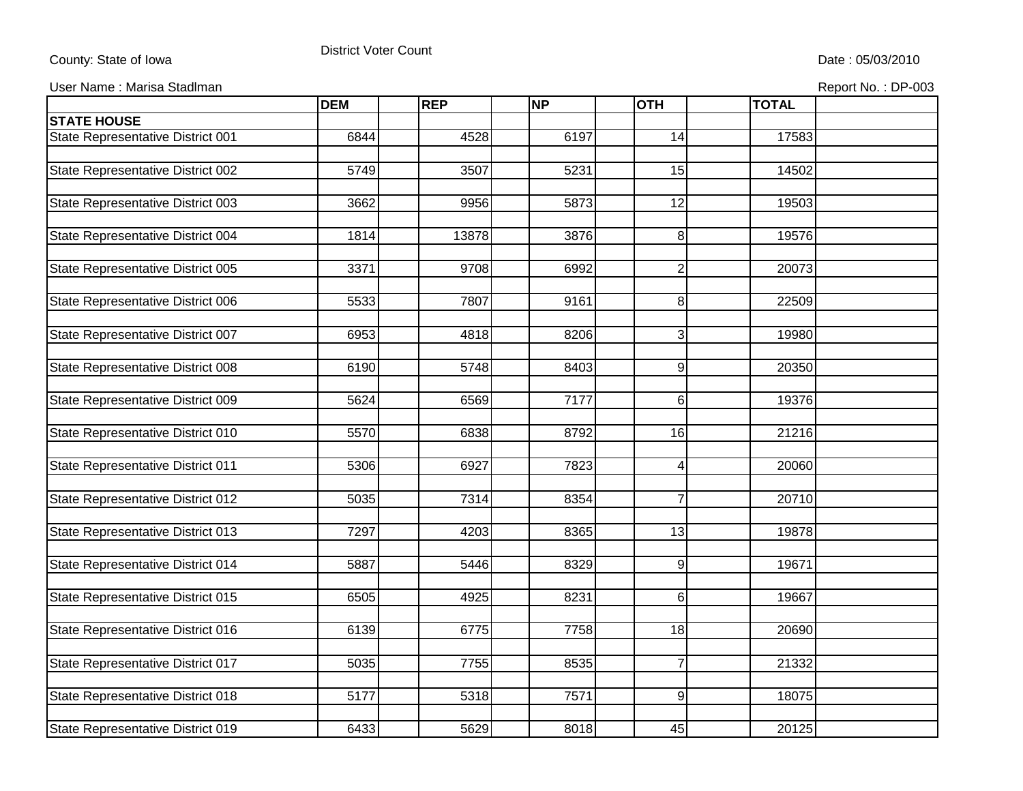## County: State of Iowa

## District Voter Count

User Name : Marisa Stadlman **Report No. : DP-003** Contract Contract Contract Contract Contract Contract Contract Contract Contract Contract Contract Contract Contract Contract Contract Contract Contract Contract Contract C

|                                   | <b>DEM</b> | <b>REP</b> | <b>NP</b> | <b>OTH</b>      | <b>TOTAL</b> |  |
|-----------------------------------|------------|------------|-----------|-----------------|--------------|--|
| <b>STATE HOUSE</b>                |            |            |           |                 |              |  |
| State Representative District 001 | 6844       | 4528       | 6197      | 14              | 17583        |  |
|                                   |            |            |           |                 |              |  |
| State Representative District 002 | 5749       | 3507       | 5231      | 15              | 14502        |  |
|                                   |            |            |           |                 |              |  |
| State Representative District 003 | 3662       | 9956       | 5873      | 12              | 19503        |  |
|                                   |            |            |           |                 |              |  |
| State Representative District 004 | 1814       | 13878      | 3876      | 8               | 19576        |  |
|                                   |            |            |           |                 |              |  |
| State Representative District 005 | 3371       | 9708       | 6992      | $\overline{2}$  | 20073        |  |
|                                   |            |            |           |                 |              |  |
| State Representative District 006 | 5533       | 7807       | 9161      | 8               | 22509        |  |
|                                   |            |            |           |                 |              |  |
| State Representative District 007 | 6953       | 4818       | 8206      | $\mathbf{3}$    | 19980        |  |
|                                   |            |            |           |                 |              |  |
| State Representative District 008 | 6190       | 5748       | 8403      | $9\,$           | 20350        |  |
|                                   |            |            |           |                 |              |  |
| State Representative District 009 | 5624       | 6569       | 7177      | $6 \,$          | 19376        |  |
|                                   |            |            |           |                 |              |  |
| State Representative District 010 | 5570       | 6838       | 8792      | 16              | 21216        |  |
|                                   |            |            |           |                 |              |  |
| State Representative District 011 | 5306       | 6927       | 7823      | 4               | 20060        |  |
|                                   |            |            |           |                 |              |  |
| State Representative District 012 | 5035       | 7314       | 8354      | $\overline{7}$  | 20710        |  |
|                                   |            |            |           |                 |              |  |
| State Representative District 013 | 7297       | 4203       | 8365      | $\overline{13}$ | 19878        |  |
|                                   |            | 5446       |           |                 |              |  |
| State Representative District 014 | 5887       |            | 8329      | $9\,$           | 19671        |  |
|                                   | 6505       | 4925       | 8231      | $6 \,$          | 19667        |  |
| State Representative District 015 |            |            |           |                 |              |  |
| State Representative District 016 | 6139       | 6775       | 7758      | 18              | 20690        |  |
|                                   |            |            |           |                 |              |  |
| State Representative District 017 | 5035       | 7755       | 8535      | $\overline{7}$  | 21332        |  |
|                                   |            |            |           |                 |              |  |
| State Representative District 018 | 5177       | 5318       | 7571      | $9\,$           | 18075        |  |
|                                   |            |            |           |                 |              |  |
| State Representative District 019 | 6433       | 5629       | 8018      | 45              | 20125        |  |
|                                   |            |            |           |                 |              |  |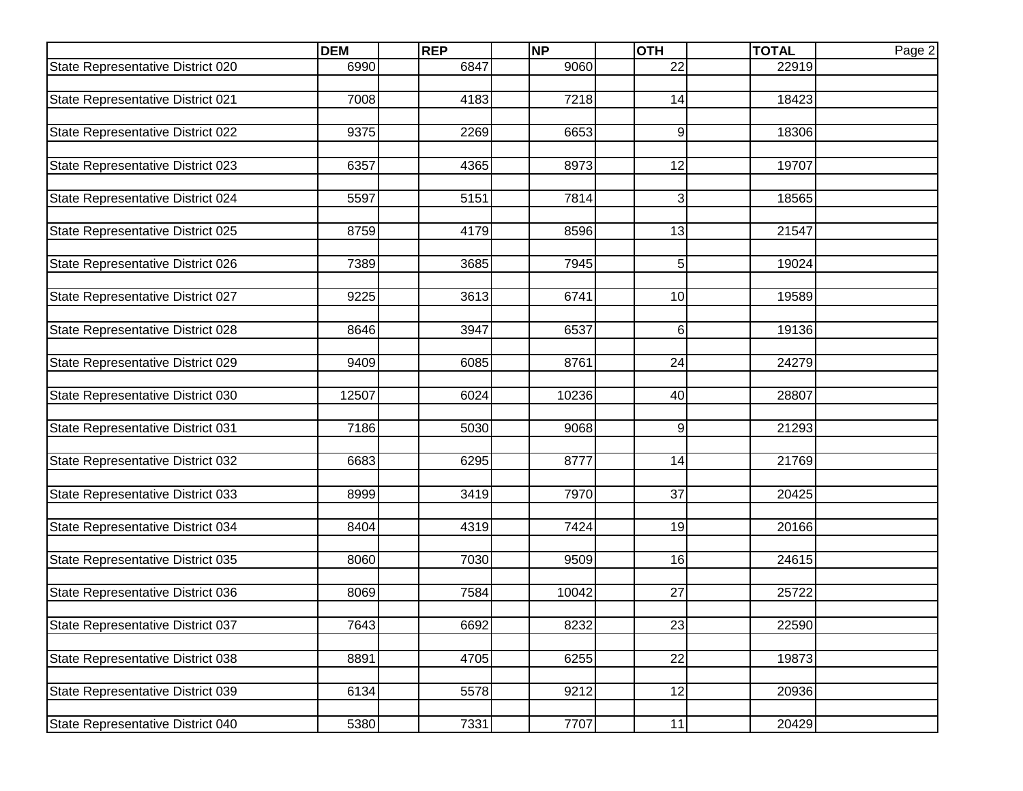|                                   | <b>DEM</b> | <b>REP</b> | <b>NP</b> | <b>OTH</b>      | <b>TOTAL</b> | Page 2 |
|-----------------------------------|------------|------------|-----------|-----------------|--------------|--------|
| State Representative District 020 | 6990       | 6847       | 9060      | 22              | 22919        |        |
|                                   |            |            |           |                 |              |        |
| State Representative District 021 | 7008       | 4183       | 7218      | 14              | 18423        |        |
|                                   |            |            |           |                 |              |        |
| State Representative District 022 | 9375       | 2269       | 6653      | 9               | 18306        |        |
|                                   |            |            |           |                 |              |        |
| State Representative District 023 | 6357       | 4365       | 8973      | 12              | 19707        |        |
|                                   |            |            |           |                 |              |        |
| State Representative District 024 | 5597       | 5151       | 7814      | 3               | 18565        |        |
| State Representative District 025 | 8759       | 4179       | 8596      | 13              | 21547        |        |
|                                   |            |            |           |                 |              |        |
| State Representative District 026 | 7389       | 3685       | 7945      | 5 <sup>1</sup>  | 19024        |        |
|                                   |            |            |           |                 |              |        |
| State Representative District 027 | 9225       | 3613       | 6741      | 10 <sup>1</sup> | 19589        |        |
|                                   |            |            |           |                 |              |        |
| State Representative District 028 | 8646       | 3947       | 6537      | $6 \mid$        | 19136        |        |
|                                   |            |            |           |                 |              |        |
| State Representative District 029 | 9409       | 6085       | 8761      | 24              | 24279        |        |
|                                   |            |            |           |                 |              |        |
| State Representative District 030 | 12507      | 6024       | 10236     | 40              | 28807        |        |
|                                   |            |            |           |                 |              |        |
| State Representative District 031 | 7186       | 5030       | 9068      | $\overline{9}$  | 21293        |        |
|                                   |            |            |           |                 |              |        |
| State Representative District 032 | 6683       | 6295       | 8777      | 14              | 21769        |        |
|                                   |            |            |           |                 |              |        |
| State Representative District 033 | 8999       | 3419       | 7970      | 37              | 20425        |        |
|                                   |            |            |           |                 |              |        |
| State Representative District 034 | 8404       | 4319       | 7424      | 19              | 20166        |        |
|                                   |            |            |           |                 |              |        |
| State Representative District 035 | 8060       | 7030       | 9509      | 16              | 24615        |        |
| State Representative District 036 | 8069       | 7584       | 10042     | 27              | 25722        |        |
|                                   |            |            |           |                 |              |        |
| State Representative District 037 | 7643       | 6692       | 8232      | 23              | 22590        |        |
|                                   |            |            |           |                 |              |        |
| State Representative District 038 | 8891       | 4705       | 6255      | 22              | 19873        |        |
|                                   |            |            |           |                 |              |        |
| State Representative District 039 | 6134       | 5578       | 9212      | 12              | 20936        |        |
|                                   |            |            |           |                 |              |        |
| State Representative District 040 | 5380       | 7331       | 7707      | 11              | 20429        |        |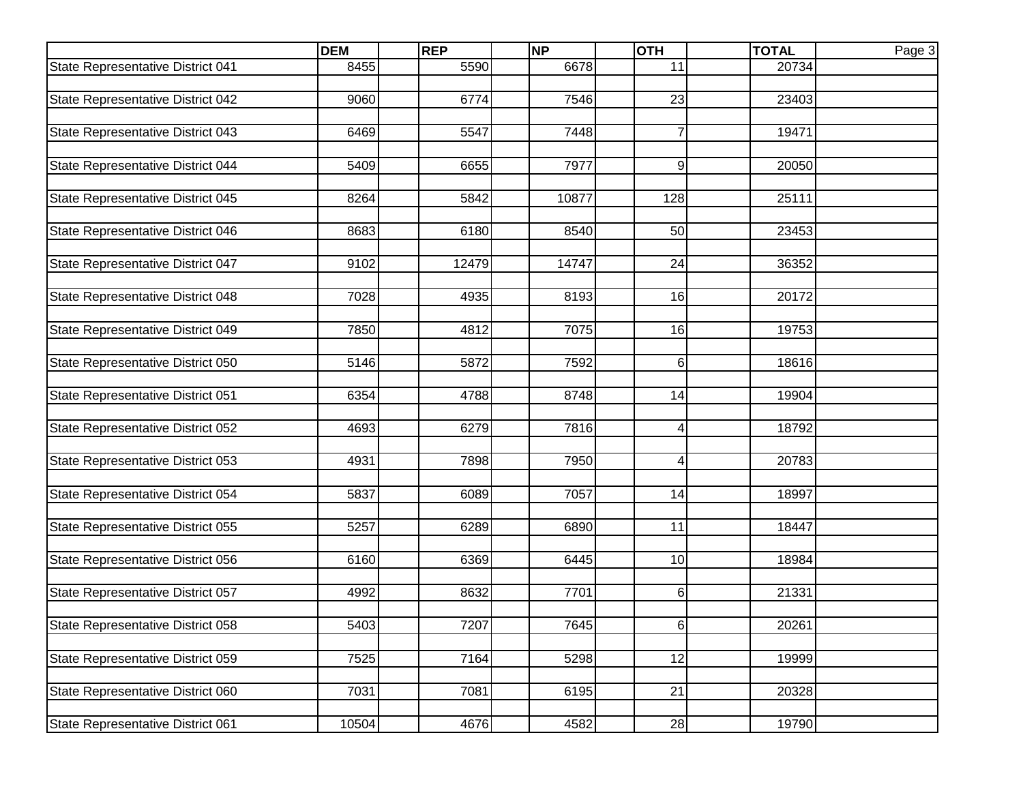|                                   | <b>DEM</b> | <b>REP</b> | <b>NP</b> | <b>OTH</b> | <b>TOTAL</b> | Page 3 |
|-----------------------------------|------------|------------|-----------|------------|--------------|--------|
| State Representative District 041 | 8455       | 5590       | 6678      | 11         | 20734        |        |
|                                   |            |            |           |            |              |        |
| State Representative District 042 | 9060       | 6774       | 7546      | 23         | 23403        |        |
|                                   |            |            |           |            |              |        |
| State Representative District 043 | 6469       | 5547       | 7448      | 7          | 19471        |        |
| State Representative District 044 | 5409       | 6655       | 7977      | 9          | 20050        |        |
|                                   |            |            |           |            |              |        |
| State Representative District 045 | 8264       | 5842       | 10877     | 128        | 25111        |        |
|                                   |            |            |           |            |              |        |
| State Representative District 046 | 8683       | 6180       | 8540      | 50         | 23453        |        |
|                                   |            |            |           |            |              |        |
| State Representative District 047 | 9102       | 12479      | 14747     | 24         | 36352        |        |
| State Representative District 048 | 7028       | 4935       | 8193      | 16         | 20172        |        |
|                                   |            |            |           |            |              |        |
| State Representative District 049 | 7850       | 4812       | 7075      | 16         | 19753        |        |
|                                   |            |            |           |            |              |        |
| State Representative District 050 | 5146       | 5872       | 7592      | 6          | 18616        |        |
|                                   |            |            |           |            |              |        |
| State Representative District 051 | 6354       | 4788       | 8748      | 14         | 19904        |        |
|                                   |            |            |           |            |              |        |
| State Representative District 052 | 4693       | 6279       | 7816      | 4          | 18792        |        |
| State Representative District 053 | 4931       | 7898       | 7950      | 4          | 20783        |        |
|                                   |            |            |           |            |              |        |
| State Representative District 054 | 5837       | 6089       | 7057      | 14         | 18997        |        |
|                                   |            |            |           |            |              |        |
| State Representative District 055 | 5257       | 6289       | 6890      | 11         | 18447        |        |
|                                   |            |            |           |            |              |        |
| State Representative District 056 | 6160       | 6369       | 6445      | 10         | 18984        |        |
|                                   |            |            |           |            |              |        |
| State Representative District 057 | 4992       | 8632       | 7701      | 6          | 21331        |        |
| State Representative District 058 | 5403       | 7207       | 7645      |            | 20261        |        |
|                                   |            |            |           | 6          |              |        |
| State Representative District 059 | 7525       | 7164       | 5298      | 12         | 19999        |        |
|                                   |            |            |           |            |              |        |
| State Representative District 060 | 7031       | 7081       | 6195      | 21         | 20328        |        |
|                                   |            |            |           |            |              |        |
| State Representative District 061 | 10504      | 4676       | 4582      | 28         | 19790        |        |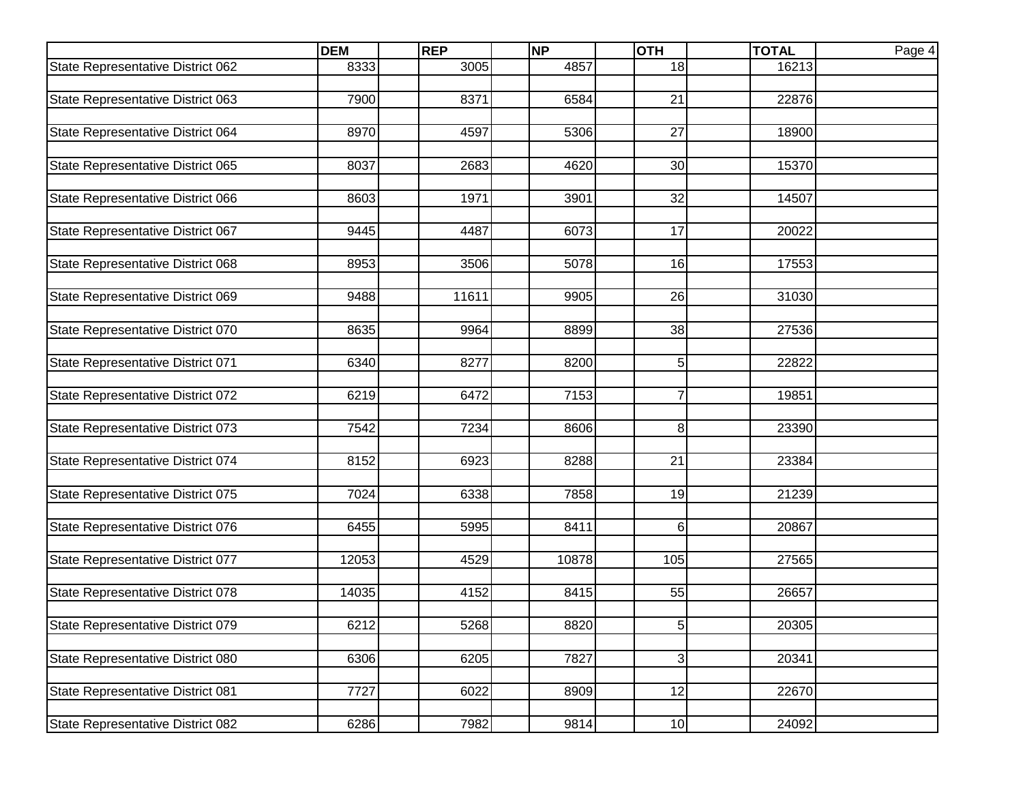|                                   | <b>DEM</b> | <b>REP</b> | <b>NP</b>         | <b>OTH</b>      | <b>TOTAL</b> | Page 4 |
|-----------------------------------|------------|------------|-------------------|-----------------|--------------|--------|
| State Representative District 062 | 8333       | 3005       | 4857              | 18              | 16213        |        |
|                                   |            |            |                   |                 |              |        |
| State Representative District 063 | 7900       | 8371       | $\overline{65}84$ | 21              | 22876        |        |
|                                   |            |            |                   |                 |              |        |
| State Representative District 064 | 8970       | 4597       | 5306              | 27              | 18900        |        |
|                                   |            |            |                   |                 |              |        |
| State Representative District 065 | 8037       | 2683       | 4620              | 30              | 15370        |        |
|                                   |            |            |                   |                 |              |        |
| State Representative District 066 | 8603       | 1971       | 3901              | 32              | 14507        |        |
|                                   |            |            |                   |                 |              |        |
| State Representative District 067 | 9445       | 4487       | 6073              | 17              | 20022        |        |
| State Representative District 068 | 8953       | 3506       | 5078              | 16              | 17553        |        |
|                                   |            |            |                   |                 |              |        |
| State Representative District 069 | 9488       | 11611      | 9905              | 26              | 31030        |        |
|                                   |            |            |                   |                 |              |        |
| State Representative District 070 | 8635       | 9964       | 8899              | 38              | 27536        |        |
|                                   |            |            |                   |                 |              |        |
| State Representative District 071 | 6340       | 8277       | 8200              | 5 <sup>1</sup>  | 22822        |        |
|                                   |            |            |                   |                 |              |        |
| State Representative District 072 | 6219       | 6472       | 7153              | 7               | 19851        |        |
|                                   |            |            |                   |                 |              |        |
| State Representative District 073 | 7542       | 7234       | 8606              | 8               | 23390        |        |
|                                   |            |            |                   |                 |              |        |
| State Representative District 074 | 8152       | 6923       | 8288              | 21              | 23384        |        |
|                                   |            |            |                   |                 |              |        |
| State Representative District 075 | 7024       | 6338       | 7858              | 19              | 21239        |        |
|                                   |            |            |                   |                 |              |        |
| State Representative District 076 | 6455       | 5995       | 8411              | 6 <sup>1</sup>  | 20867        |        |
|                                   |            |            |                   |                 |              |        |
| State Representative District 077 | 12053      | 4529       | 10878             | 105             | 27565        |        |
|                                   |            |            |                   |                 |              |        |
| State Representative District 078 | 14035      | 4152       | 8415              | 55              | 26657        |        |
|                                   |            |            |                   |                 |              |        |
| State Representative District 079 | 6212       | 5268       | 8820              | 5 <sub>l</sub>  | 20305        |        |
| State Representative District 080 | 6306       | 6205       | 7827              | 3               | 20341        |        |
|                                   |            |            |                   |                 |              |        |
| State Representative District 081 | 7727       | 6022       | 8909              | 12              | 22670        |        |
|                                   |            |            |                   |                 |              |        |
| State Representative District 082 | 6286       | 7982       | 9814              | 10 <sub>1</sub> | 24092        |        |
|                                   |            |            |                   |                 |              |        |